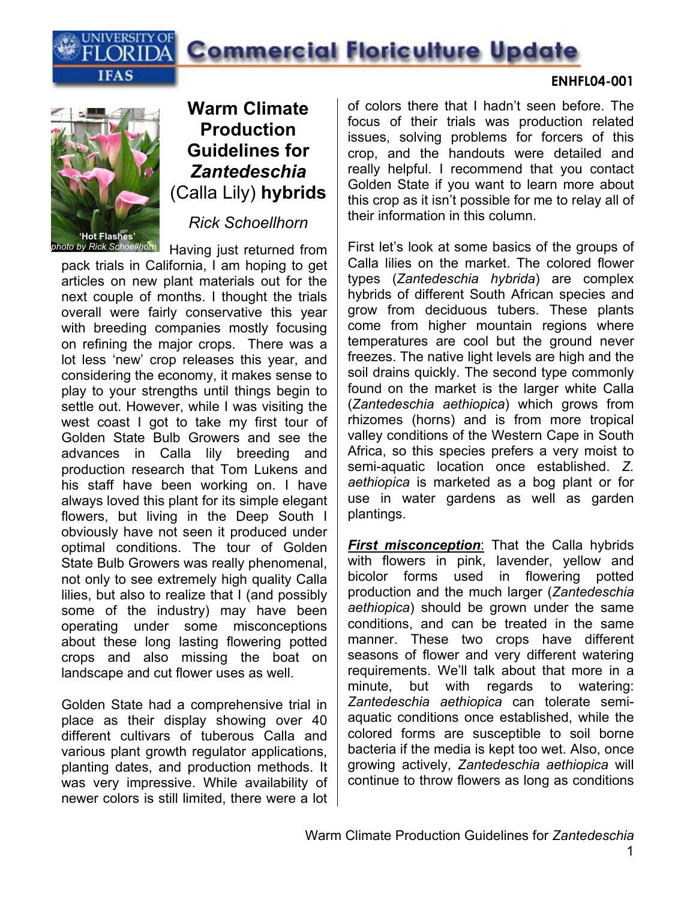



### **Warm Climate Production Guidelines for**  *Zantedeschia*  (Calla Lily) **hybrids**

*Rick Schoellhorn* 

*photo by Rick Schoellhorn* Having just returned from pack trials in California, I am hoping to get articles on new plant materials out for the next couple of months. I thought the trials overall were fairly conservative this year with breeding companies mostly focusing on refining the major crops. There was a lot less 'new' crop releases this year, and considering the economy, it makes sense to play to your strengths until things begin to settle out. However, while I was visiting the west coast I got to take my first tour of Golden State Bulb Growers and see the advances in Calla lily breeding and production research that Tom Lukens and his staff have been working on. I have always loved this plant for its simple elegant flowers, but living in the Deep South I obviously have not seen it produced under optimal conditions. The tour of Golden State Bulb Growers was really phenomenal, not only to see extremely high quality Calla lilies, but also to realize that I (and possibly some of the industry) may have been operating under some misconceptions about these long lasting flowering potted crops and also missing the boat on landscape and cut flower uses as well.

Golden State had a comprehensive trial in place as their display showing over 40 different cultivars of tuberous Calla and various plant growth regulator applications, planting dates, and production methods. It was very impressive. While availability of newer colors is still limited, there were a lot of colors there that I hadn't seen before. The focus of their trials was production related issues, solving problems for forcers of this crop, and the handouts were detailed and really helpful. I recommend that you contact Golden State if you want to learn more about this crop as it isn't possible for me to relay all of their information in this column.

First let's look at some basics of the groups of Calla lilies on the market. The colored flower types (*Zantedeschia hybrida*) are complex hybrids of different South African species and grow from deciduous tubers. These plants come from higher mountain regions where temperatures are cool but the ground never freezes. The native light levels are high and the soil drains quickly. The second type commonly found on the market is the larger white Calla (*Zantedeschia aethiopica*) which grows from rhizomes (horns) and is from more tropical valley conditions of the Western Cape in South Africa, so this species prefers a very moist to semi-aquatic location once established. *Z. aethiopica* is marketed as a bog plant or for use in water gardens as well as garden plantings.

*First misconception*: That the Calla hybrids with flowers in pink, lavender, yellow and bicolor forms used in flowering potted production and the much larger (*Zantedeschia aethiopica*) should be grown under the same conditions, and can be treated in the same manner. These two crops have different seasons of flower and very different watering requirements. We'll talk about that more in a minute, but with regards to watering: *Zantedeschia aethiopica* can tolerate semiaquatic conditions once established, while the colored forms are susceptible to soil borne bacteria if the media is kept too wet. Also, once growing actively, *Zantedeschia aethiopica* will continue to throw flowers as long as conditions

#### **ENHFL04-001**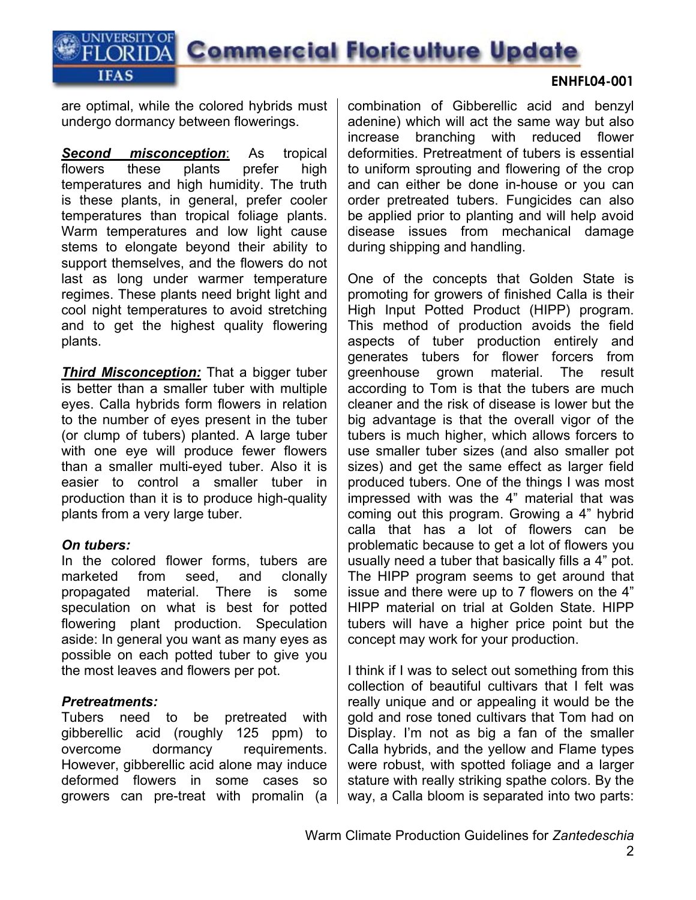are optimal, while the colored hybrids must undergo dormancy between flowerings.

**UNIVERSITY OF** 

**IFAS** 

*Second misconception*: As tropical flowers these plants prefer high temperatures and high humidity. The truth is these plants, in general, prefer cooler temperatures than tropical foliage plants. Warm temperatures and low light cause stems to elongate beyond their ability to support themselves, and the flowers do not last as long under warmer temperature regimes. These plants need bright light and cool night temperatures to avoid stretching and to get the highest quality flowering plants.

**Third Misconception:** That a bigger tuber is better than a smaller tuber with multiple eyes. Calla hybrids form flowers in relation to the number of eyes present in the tuber (or clump of tubers) planted. A large tuber with one eye will produce fewer flowers than a smaller multi-eyed tuber. Also it is easier to control a smaller tuber in production than it is to produce high-quality plants from a very large tuber.

#### *On tubers:*

In the colored flower forms, tubers are marketed from seed, and clonally propagated material. There is some speculation on what is best for potted flowering plant production. Speculation aside: In general you want as many eyes as possible on each potted tuber to give you the most leaves and flowers per pot.

#### *Pretreatments:*

Tubers need to be pretreated with gibberellic acid (roughly 125 ppm) to overcome dormancy requirements. However, gibberellic acid alone may induce deformed flowers in some cases so growers can pre-treat with promalin (a

combination of Gibberellic acid and benzyl adenine) which will act the same way but also increase branching with reduced flower deformities. Pretreatment of tubers is essential to uniform sprouting and flowering of the crop and can either be done in-house or you can order pretreated tubers. Fungicides can also be applied prior to planting and will help avoid disease issues from mechanical damage during shipping and handling.

One of the concepts that Golden State is promoting for growers of finished Calla is their High Input Potted Product (HIPP) program. This method of production avoids the field aspects of tuber production entirely and generates tubers for flower forcers from greenhouse grown material. The result according to Tom is that the tubers are much cleaner and the risk of disease is lower but the big advantage is that the overall vigor of the tubers is much higher, which allows forcers to use smaller tuber sizes (and also smaller pot sizes) and get the same effect as larger field produced tubers. One of the things I was most impressed with was the 4" material that was coming out this program. Growing a 4" hybrid calla that has a lot of flowers can be problematic because to get a lot of flowers you usually need a tuber that basically fills a 4" pot. The HIPP program seems to get around that issue and there were up to 7 flowers on the 4" HIPP material on trial at Golden State. HIPP tubers will have a higher price point but the concept may work for your production.

I think if I was to select out something from this collection of beautiful cultivars that I felt was really unique and or appealing it would be the gold and rose toned cultivars that Tom had on Display. I'm not as big a fan of the smaller Calla hybrids, and the yellow and Flame types were robust, with spotted foliage and a larger stature with really striking spathe colors. By the way, a Calla bloom is separated into two parts:

#### **ENHFL04-001**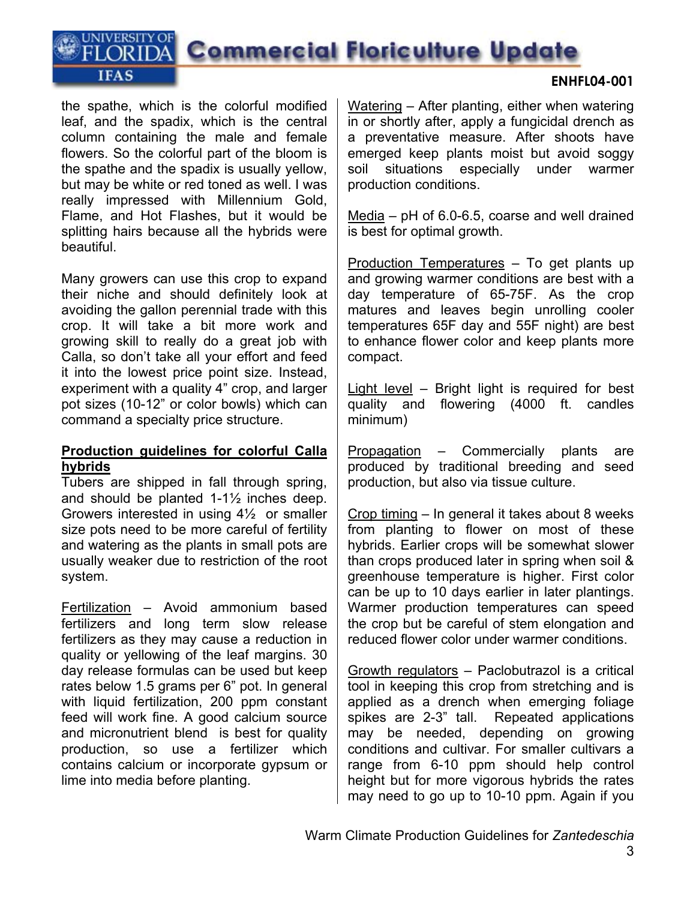the spathe, which is the colorful modified leaf, and the spadix, which is the central column containing the male and female flowers. So the colorful part of the bloom is the spathe and the spadix is usually yellow, but may be white or red toned as well. I was really impressed with Millennium Gold, Flame, and Hot Flashes, but it would be splitting hairs because all the hybrids were beautiful.

**UNIVERSITY OF** 

**IFAS** 

Many growers can use this crop to expand their niche and should definitely look at avoiding the gallon perennial trade with this crop. It will take a bit more work and growing skill to really do a great job with Calla, so don't take all your effort and feed it into the lowest price point size. Instead, experiment with a quality 4" crop, and larger pot sizes (10-12" or color bowls) which can command a specialty price structure.

#### **Production guidelines for colorful Calla hybrids**

Tubers are shipped in fall through spring, and should be planted 1-1½ inches deep. Growers interested in using 4½ or smaller size pots need to be more careful of fertility and watering as the plants in small pots are usually weaker due to restriction of the root system.

Fertilization – Avoid ammonium based fertilizers and long term slow release fertilizers as they may cause a reduction in quality or yellowing of the leaf margins. 30 day release formulas can be used but keep rates below 1.5 grams per 6" pot. In general with liquid fertilization, 200 ppm constant feed will work fine. A good calcium source and micronutrient blend is best for quality production, so use a fertilizer which contains calcium or incorporate gypsum or lime into media before planting.

Watering – After planting, either when watering in or shortly after, apply a fungicidal drench as a preventative measure. After shoots have emerged keep plants moist but avoid soggy soil situations especially under warmer production conditions.

Media – pH of 6.0-6.5, coarse and well drained is best for optimal growth.

Production Temperatures – To get plants up and growing warmer conditions are best with a day temperature of 65-75F. As the crop matures and leaves begin unrolling cooler temperatures 65F day and 55F night) are best to enhance flower color and keep plants more compact.

Light level – Bright light is required for best quality and flowering (4000 ft. candles minimum)

Propagation – Commercially plants are produced by traditional breeding and seed production, but also via tissue culture.

Crop timing – In general it takes about 8 weeks from planting to flower on most of these hybrids. Earlier crops will be somewhat slower than crops produced later in spring when soil & greenhouse temperature is higher. First color can be up to 10 days earlier in later plantings. Warmer production temperatures can speed the crop but be careful of stem elongation and reduced flower color under warmer conditions.

Growth regulators – Paclobutrazol is a critical tool in keeping this crop from stretching and is applied as a drench when emerging foliage spikes are 2-3" tall. Repeated applications may be needed, depending on growing conditions and cultivar. For smaller cultivars a range from 6-10 ppm should help control height but for more vigorous hybrids the rates may need to go up to 10-10 ppm. Again if you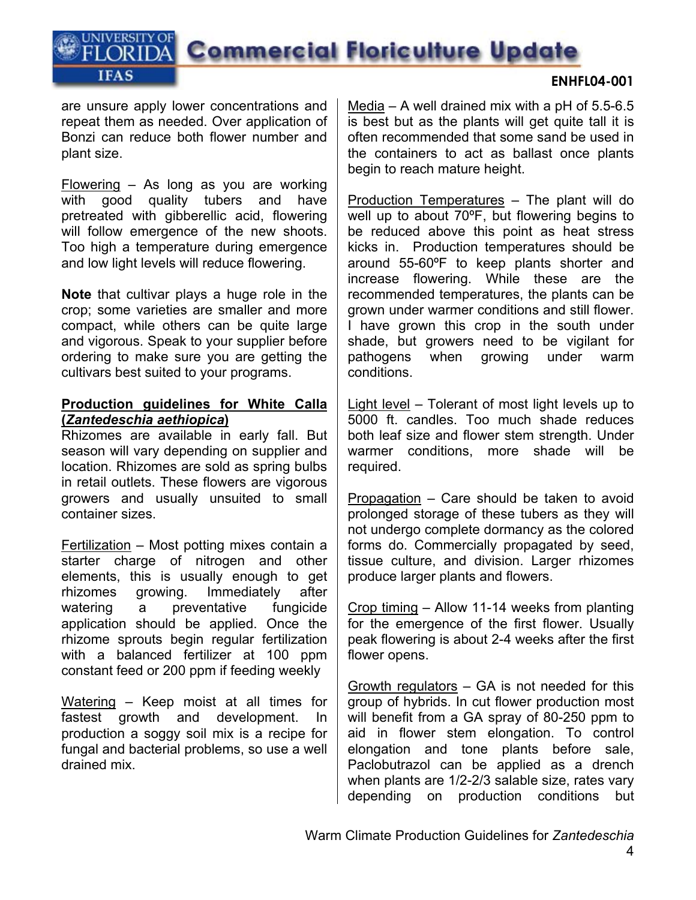are unsure apply lower concentrations and repeat them as needed. Over application of Bonzi can reduce both flower number and plant size.

**UNIVERSITY OF** 

**IFAS** 

Flowering – As long as you are working with good quality tubers and have pretreated with gibberellic acid, flowering will follow emergence of the new shoots. Too high a temperature during emergence and low light levels will reduce flowering.

**Note** that cultivar plays a huge role in the crop; some varieties are smaller and more compact, while others can be quite large and vigorous. Speak to your supplier before ordering to make sure you are getting the cultivars best suited to your programs.

#### **Production guidelines for White Calla (***Zantedeschia aethiopica***)**

Rhizomes are available in early fall. But season will vary depending on supplier and location. Rhizomes are sold as spring bulbs in retail outlets. These flowers are vigorous growers and usually unsuited to small container sizes.

Fertilization – Most potting mixes contain a starter charge of nitrogen and other elements, this is usually enough to get rhizomes growing. Immediately after watering a preventative fungicide application should be applied. Once the rhizome sprouts begin regular fertilization with a balanced fertilizer at 100 ppm constant feed or 200 ppm if feeding weekly

Watering – Keep moist at all times for fastest growth and development. In production a soggy soil mix is a recipe for fungal and bacterial problems, so use a well drained mix.

Media – A well drained mix with a  $pH$  of 5.5-6.5 is best but as the plants will get quite tall it is often recommended that some sand be used in the containers to act as ballast once plants begin to reach mature height.

Production Temperatures – The plant will do well up to about 70ºF, but flowering begins to be reduced above this point as heat stress kicks in. Production temperatures should be around 55-60ºF to keep plants shorter and increase flowering. While these are the recommended temperatures, the plants can be grown under warmer conditions and still flower. I have grown this crop in the south under shade, but growers need to be vigilant for pathogens when growing under warm conditions.

Light level – Tolerant of most light levels up to 5000 ft. candles. Too much shade reduces both leaf size and flower stem strength. Under warmer conditions, more shade will be required.

Propagation – Care should be taken to avoid prolonged storage of these tubers as they will not undergo complete dormancy as the colored forms do. Commercially propagated by seed, tissue culture, and division. Larger rhizomes produce larger plants and flowers.

Crop timing – Allow 11-14 weeks from planting for the emergence of the first flower. Usually peak flowering is about 2-4 weeks after the first flower opens.

Growth regulators – GA is not needed for this group of hybrids. In cut flower production most will benefit from a GA spray of 80-250 ppm to aid in flower stem elongation. To control elongation and tone plants before sale, Paclobutrazol can be applied as a drench when plants are 1/2-2/3 salable size, rates vary depending on production conditions but